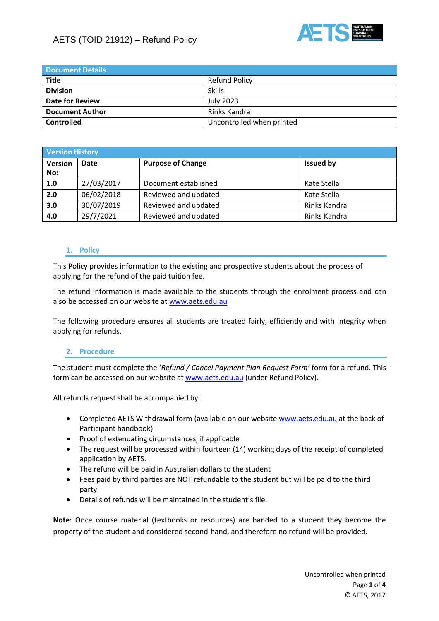



| <b>Document Details</b> |                           |  |  |
|-------------------------|---------------------------|--|--|
| <b>Title</b>            | <b>Refund Policy</b>      |  |  |
| <b>Division</b>         | <b>Skills</b>             |  |  |
| <b>Date for Review</b>  | July 2023                 |  |  |
| <b>Document Author</b>  | Rinks Kandra              |  |  |
| <b>Controlled</b>       | Uncontrolled when printed |  |  |

| <b>Version History</b> |            |                          |                  |  |  |
|------------------------|------------|--------------------------|------------------|--|--|
| Version<br>No:         | Date       | <b>Purpose of Change</b> | <b>Issued by</b> |  |  |
| 1.0                    | 27/03/2017 | Document established     | Kate Stella      |  |  |
| 2.0                    | 06/02/2018 | Reviewed and updated     | Kate Stella      |  |  |
| 3.0                    | 30/07/2019 | Reviewed and updated     | Rinks Kandra     |  |  |
| 4.0                    | 29/7/2021  | Reviewed and updated     | Rinks Kandra     |  |  |

#### **1. Policy**

This Policy provides information to the existing and prospective students about the process of applying for the refund of the paid tuition fee.

The refund information is made available to the students through the enrolment process and can also be accessed on our website a[t www.aets.edu.au](http://www.aets.edu.au/)

The following procedure ensures all students are treated fairly, efficiently and with integrity when applying for refunds.

#### **2. Procedure**

The student must complete the '*Refund / Cancel Payment Plan Request Form'* form for a refund. This form can be accessed on our website a[t www.aets.edu.au](http://www.aets.edu.au/) (under Refund Policy).

All refunds request shall be accompanied by:

- Completed AETS Withdrawal form (available on our website [www.aets.edu.au](http://www.aets.edu.au/) at the back of Participant handbook)
- Proof of extenuating circumstances, if applicable
- The request will be processed within fourteen (14) working days of the receipt of completed application by AETS.
- The refund will be paid in Australian dollars to the student
- Fees paid by third parties are NOT refundable to the student but will be paid to the third party.
- Details of refunds will be maintained in the student's file.

**Note**: Once course material (textbooks or resources) are handed to a student they become the property of the student and considered second-hand, and therefore no refund will be provided.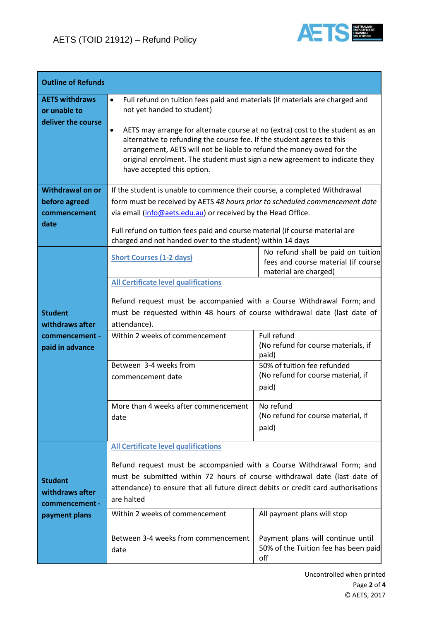

| <b>Outline of Refunds</b>                                              |                                                                                                                                                                                                                                                                                                                                                                                                                                                                              |                                                                                                                                                                                                                                                                                                                                                                                                                                                                   |  |  |  |
|------------------------------------------------------------------------|------------------------------------------------------------------------------------------------------------------------------------------------------------------------------------------------------------------------------------------------------------------------------------------------------------------------------------------------------------------------------------------------------------------------------------------------------------------------------|-------------------------------------------------------------------------------------------------------------------------------------------------------------------------------------------------------------------------------------------------------------------------------------------------------------------------------------------------------------------------------------------------------------------------------------------------------------------|--|--|--|
| <b>AETS withdraws</b><br>or unable to<br>deliver the course            | Full refund on tuition fees paid and materials (if materials are charged and<br>$\bullet$<br>not yet handed to student)<br>AETS may arrange for alternate course at no (extra) cost to the student as an<br>٠<br>alternative to refunding the course fee. If the student agrees to this<br>arrangement, AETS will not be liable to refund the money owed for the<br>original enrolment. The student must sign a new agreement to indicate they<br>have accepted this option. |                                                                                                                                                                                                                                                                                                                                                                                                                                                                   |  |  |  |
| <b>Withdrawal on or</b><br>before agreed<br>commencement<br>date       | If the student is unable to commence their course, a completed Withdrawal<br>form must be received by AETS 48 hours prior to scheduled commencement date<br>via email (info@aets.edu.au) or received by the Head Office.<br>Full refund on tuition fees paid and course material (if course material are<br>charged and not handed over to the student) within 14 days                                                                                                       |                                                                                                                                                                                                                                                                                                                                                                                                                                                                   |  |  |  |
| <b>Student</b><br>withdraws after<br>commencement -<br>paid in advance | <b>Short Courses (1-2 days)</b><br><b>All Certificate level qualifications</b><br>attendance).<br>Within 2 weeks of commencement<br>Between 3-4 weeks from<br>commencement date<br>More than 4 weeks after commencement<br>date                                                                                                                                                                                                                                              | No refund shall be paid on tuition<br>fees and course material (if course<br>material are charged)<br>Refund request must be accompanied with a Course Withdrawal Form; and<br>must be requested within 48 hours of course withdrawal date (last date of<br>Full refund<br>(No refund for course materials, if<br>paid)<br>50% of tuition fee refunded<br>(No refund for course material, if<br>paid)<br>No refund<br>(No refund for course material, if<br>paid) |  |  |  |
| <b>Student</b><br>withdraws after<br>commencement -<br>payment plans   | <b>All Certificate level qualifications</b><br>are halted<br>Within 2 weeks of commencement<br>Between 3-4 weeks from commencement<br>date                                                                                                                                                                                                                                                                                                                                   | Refund request must be accompanied with a Course Withdrawal Form; and<br>must be submitted within 72 hours of course withdrawal date (last date of<br>attendance) to ensure that all future direct debits or credit card authorisations<br>All payment plans will stop<br>Payment plans will continue until<br>50% of the Tuition fee has been paid<br>off                                                                                                        |  |  |  |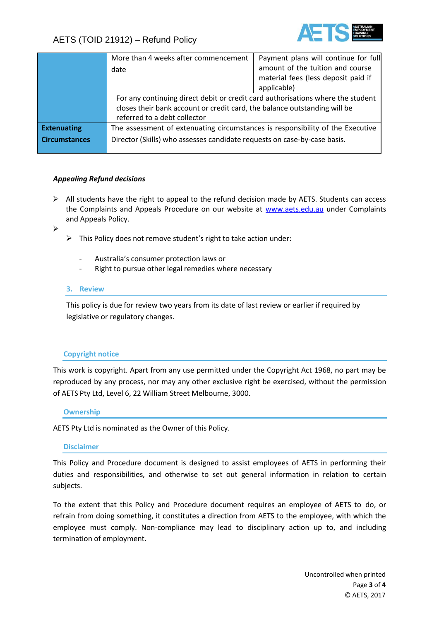

# AETS (TOID 21912) – Refund Policy

|                      | More than 4 weeks after commencement                                            | Payment plans will continue for full |  |
|----------------------|---------------------------------------------------------------------------------|--------------------------------------|--|
|                      | date                                                                            | amount of the tuition and course     |  |
|                      |                                                                                 | material fees (less deposit paid if  |  |
|                      |                                                                                 | applicable)                          |  |
|                      | For any continuing direct debit or credit card authorisations where the student |                                      |  |
|                      | closes their bank account or credit card, the balance outstanding will be       |                                      |  |
|                      | referred to a debt collector                                                    |                                      |  |
| <b>Extenuating</b>   | The assessment of extenuating circumstances is responsibility of the Executive  |                                      |  |
| <b>Circumstances</b> | Director (Skills) who assesses candidate requests on case-by-case basis.        |                                      |  |
|                      |                                                                                 |                                      |  |

### *Appealing Refund decisions*

 $\triangleright$  All students have the right to appeal to the refund decision made by AETS. Students can access the Complaints and Appeals Procedure on our website at [www.aets.edu.au](http://www.aets.edu.au/) under Complaints and Appeals Policy.

➢

- ➢ This Policy does not remove student's right to take action under:
	- Australia's consumer protection laws or
	- Right to pursue other legal remedies where necessary

#### **3. Review**

This policy is due for review two years from its date of last review or earlier if required by legislative or regulatory changes.

#### **Copyright notice**

This work is copyright. Apart from any use permitted under the Copyright Act 1968, no part may be reproduced by any process, nor may any other exclusive right be exercised, without the permission of AETS Pty Ltd, Level 6, 22 William Street Melbourne, 3000.

#### **Ownership**

AETS Pty Ltd is nominated as the Owner of this Policy.

#### **Disclaimer**

This Policy and Procedure document is designed to assist employees of AETS in performing their duties and responsibilities, and otherwise to set out general information in relation to certain subjects.

To the extent that this Policy and Procedure document requires an employee of AETS to do, or refrain from doing something, it constitutes a direction from AETS to the employee, with which the employee must comply. Non-compliance may lead to disciplinary action up to, and including termination of employment.